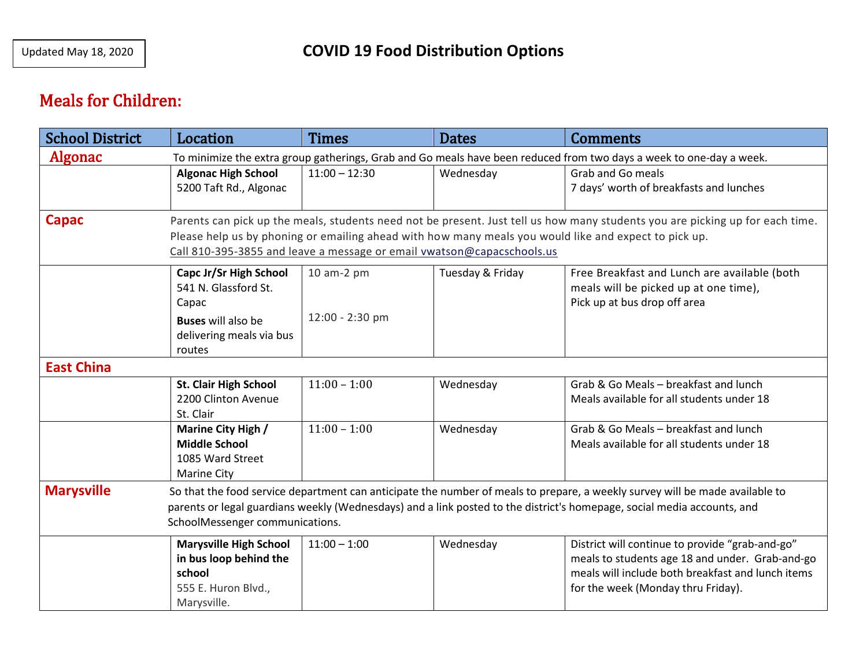## Meals for Children:

| <b>School District</b>                                                                                                                                                                                                                                                                                                    | Location                                                                                                                   | <b>Times</b>                  | <b>Dates</b>     | <b>Comments</b>                                                                                                                                                                               |  |  |  |
|---------------------------------------------------------------------------------------------------------------------------------------------------------------------------------------------------------------------------------------------------------------------------------------------------------------------------|----------------------------------------------------------------------------------------------------------------------------|-------------------------------|------------------|-----------------------------------------------------------------------------------------------------------------------------------------------------------------------------------------------|--|--|--|
| <b>Algonac</b><br>To minimize the extra group gatherings, Grab and Go meals have been reduced from two days a week to one-day a week.                                                                                                                                                                                     |                                                                                                                            |                               |                  |                                                                                                                                                                                               |  |  |  |
|                                                                                                                                                                                                                                                                                                                           | <b>Algonac High School</b><br>5200 Taft Rd., Algonac                                                                       | $11:00 - 12:30$               | Wednesday        | <b>Grab and Go meals</b><br>7 days' worth of breakfasts and lunches                                                                                                                           |  |  |  |
| Capac<br>Parents can pick up the meals, students need not be present. Just tell us how many students you are picking up for each time.<br>Please help us by phoning or emailing ahead with how many meals you would like and expect to pick up.<br>Call 810-395-3855 and leave a message or email vwatson@capacschools.us |                                                                                                                            |                               |                  |                                                                                                                                                                                               |  |  |  |
|                                                                                                                                                                                                                                                                                                                           | Capc Jr/Sr High School<br>541 N. Glassford St.<br>Capac<br><b>Buses will also be</b><br>delivering meals via bus<br>routes | 10 am-2 pm<br>12:00 - 2:30 pm | Tuesday & Friday | Free Breakfast and Lunch are available (both<br>meals will be picked up at one time),<br>Pick up at bus drop off area                                                                         |  |  |  |
| <b>East China</b>                                                                                                                                                                                                                                                                                                         |                                                                                                                            |                               |                  |                                                                                                                                                                                               |  |  |  |
|                                                                                                                                                                                                                                                                                                                           | <b>St. Clair High School</b><br>2200 Clinton Avenue<br>St. Clair                                                           | $11:00 - 1:00$                | Wednesday        | Grab & Go Meals - breakfast and lunch<br>Meals available for all students under 18                                                                                                            |  |  |  |
|                                                                                                                                                                                                                                                                                                                           | Marine City High /<br><b>Middle School</b><br>1085 Ward Street<br><b>Marine City</b>                                       | $11:00 - 1:00$                | Wednesday        | Grab & Go Meals - breakfast and lunch<br>Meals available for all students under 18                                                                                                            |  |  |  |
| <b>Marysville</b><br>So that the food service department can anticipate the number of meals to prepare, a weekly survey will be made available to<br>parents or legal guardians weekly (Wednesdays) and a link posted to the district's homepage, social media accounts, and<br>SchoolMessenger communications.           |                                                                                                                            |                               |                  |                                                                                                                                                                                               |  |  |  |
|                                                                                                                                                                                                                                                                                                                           | <b>Marysville High School</b><br>in bus loop behind the<br>school<br>555 E. Huron Blvd.,<br>Marysville.                    | $11:00 - 1:00$                | Wednesday        | District will continue to provide "grab-and-go"<br>meals to students age 18 and under. Grab-and-go<br>meals will include both breakfast and lunch items<br>for the week (Monday thru Friday). |  |  |  |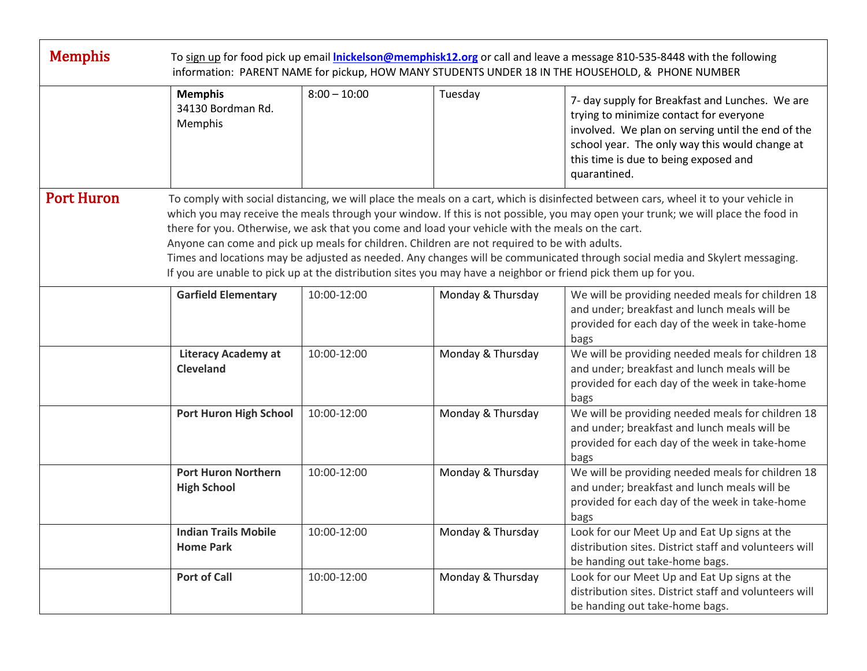| <b>Memphis</b>                                                                                                                                                                                                                                                                                                                                                                                                                                                                                                                                                                                                                                                                                                                                    | To sign up for food pick up email <i>Inickelson@memphisk12.org</i> or call and leave a message 810-535-8448 with the following<br>information: PARENT NAME for pickup, HOW MANY STUDENTS UNDER 18 IN THE HOUSEHOLD, & PHONE NUMBER |                |                   |                                                                                                                                                                                                                                                            |  |  |  |
|---------------------------------------------------------------------------------------------------------------------------------------------------------------------------------------------------------------------------------------------------------------------------------------------------------------------------------------------------------------------------------------------------------------------------------------------------------------------------------------------------------------------------------------------------------------------------------------------------------------------------------------------------------------------------------------------------------------------------------------------------|------------------------------------------------------------------------------------------------------------------------------------------------------------------------------------------------------------------------------------|----------------|-------------------|------------------------------------------------------------------------------------------------------------------------------------------------------------------------------------------------------------------------------------------------------------|--|--|--|
|                                                                                                                                                                                                                                                                                                                                                                                                                                                                                                                                                                                                                                                                                                                                                   | <b>Memphis</b><br>34130 Bordman Rd.<br>Memphis                                                                                                                                                                                     | $8:00 - 10:00$ | Tuesday           | 7- day supply for Breakfast and Lunches. We are<br>trying to minimize contact for everyone<br>involved. We plan on serving until the end of the<br>school year. The only way this would change at<br>this time is due to being exposed and<br>quarantined. |  |  |  |
| <b>Port Huron</b><br>To comply with social distancing, we will place the meals on a cart, which is disinfected between cars, wheel it to your vehicle in<br>which you may receive the meals through your window. If this is not possible, you may open your trunk; we will place the food in<br>there for you. Otherwise, we ask that you come and load your vehicle with the meals on the cart.<br>Anyone can come and pick up meals for children. Children are not required to be with adults.<br>Times and locations may be adjusted as needed. Any changes will be communicated through social media and Skylert messaging.<br>If you are unable to pick up at the distribution sites you may have a neighbor or friend pick them up for you. |                                                                                                                                                                                                                                    |                |                   |                                                                                                                                                                                                                                                            |  |  |  |
|                                                                                                                                                                                                                                                                                                                                                                                                                                                                                                                                                                                                                                                                                                                                                   | <b>Garfield Elementary</b>                                                                                                                                                                                                         | 10:00-12:00    | Monday & Thursday | We will be providing needed meals for children 18<br>and under; breakfast and lunch meals will be<br>provided for each day of the week in take-home<br>bags                                                                                                |  |  |  |
|                                                                                                                                                                                                                                                                                                                                                                                                                                                                                                                                                                                                                                                                                                                                                   | <b>Literacy Academy at</b><br><b>Cleveland</b>                                                                                                                                                                                     | 10:00-12:00    | Monday & Thursday | We will be providing needed meals for children 18<br>and under; breakfast and lunch meals will be<br>provided for each day of the week in take-home<br>bags                                                                                                |  |  |  |
|                                                                                                                                                                                                                                                                                                                                                                                                                                                                                                                                                                                                                                                                                                                                                   | Port Huron High School                                                                                                                                                                                                             | 10:00-12:00    | Monday & Thursday | We will be providing needed meals for children 18<br>and under; breakfast and lunch meals will be<br>provided for each day of the week in take-home<br>bags                                                                                                |  |  |  |
|                                                                                                                                                                                                                                                                                                                                                                                                                                                                                                                                                                                                                                                                                                                                                   | <b>Port Huron Northern</b><br><b>High School</b>                                                                                                                                                                                   | 10:00-12:00    | Monday & Thursday | We will be providing needed meals for children 18<br>and under; breakfast and lunch meals will be<br>provided for each day of the week in take-home<br>bags                                                                                                |  |  |  |
|                                                                                                                                                                                                                                                                                                                                                                                                                                                                                                                                                                                                                                                                                                                                                   | <b>Indian Trails Mobile</b><br><b>Home Park</b>                                                                                                                                                                                    | 10:00-12:00    | Monday & Thursday | Look for our Meet Up and Eat Up signs at the<br>distribution sites. District staff and volunteers will<br>be handing out take-home bags.                                                                                                                   |  |  |  |
|                                                                                                                                                                                                                                                                                                                                                                                                                                                                                                                                                                                                                                                                                                                                                   | <b>Port of Call</b>                                                                                                                                                                                                                | 10:00-12:00    | Monday & Thursday | Look for our Meet Up and Eat Up signs at the<br>distribution sites. District staff and volunteers will<br>be handing out take-home bags.                                                                                                                   |  |  |  |